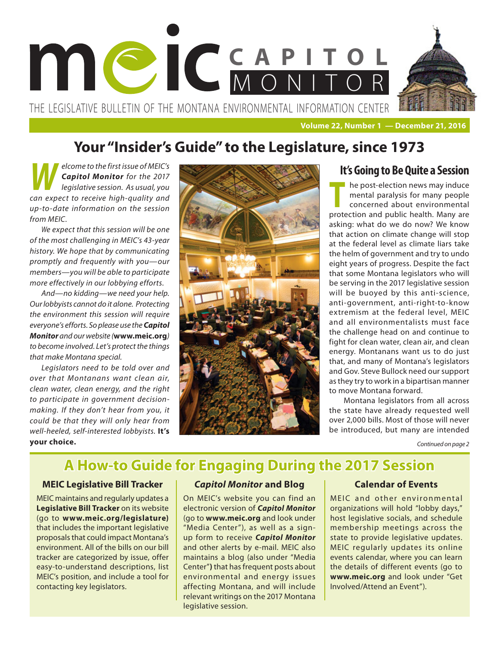

**Volume 22, Number 1 — December 21, 2016**

# **Your "Insider's Guide" to the Legislature, since 1973**

*M<br><i>legislative session. As usual, you legislative session. As usual, you Capitol Monitor for the 2017 can expect to receive high-quality and up-to-date information on the session from MEIC.* 

*We expect that this session will be one of the most challenging in MEIC's 43-year history. We hope that by communicating promptly and frequently with you—our members—you will be able to participate more effectively in our lobbying efforts.*

*And—no kidding—we need your help. Our lobbyists cannot do it alone. Protecting the environment this session will require everyone's efforts. So please use the Capitol Monitor and our website (***www.meic.org***) to become involved. Let's protect the things that make Montana special.* 

*Legislators need to be told over and over that Montanans want clean air, clean water, clean energy, and the right to participate in government decisionmaking. If they don't hear from you, it could be that they will only hear from well-heeled, self-interested lobbyists.* **It's your choice.** 



## **It's Going to Be Quite a Session**

**The post-election news may induce<br>
<b>The post-election news may people**<br> **The concerned about environmental**<br> **The value of the state of the state of the state of the state of the state of the state of the state of the sta** mental paralysis for many people concerned about environmental protection and public health. Many are asking: what do we do now? We know that action on climate change will stop at the federal level as climate liars take the helm of government and try to undo eight years of progress. Despite the fact that some Montana legislators who will be serving in the 2017 legislative session will be buoyed by this anti-science, anti-government, anti-right-to-know extremism at the federal level, MEIC and all environmentalists must face the challenge head on and continue to fight for clean water, clean air, and clean energy. Montanans want us to do just that, and many of Montana's legislators and Gov. Steve Bullock need our support as they try to work in a bipartisan manner to move Montana forward.

Montana legislators from all across the state have already requested well over 2,000 bills. Most of those will never be introduced, but many are intended

*Continued on page 2*

# **A How-to Guide for Engaging During the 2017 Session**

## **MEIC Legislative Bill Tracker**

MEIC maintains and regularly updates a **Legislative Bill Tracker** on its website (go to **www.meic.org/legislature)** that includes the important legislative proposals that could impact Montana's environment. All of the bills on our bill tracker are categorized by issue, offer easy-to-understand descriptions, list MEIC's position, and include a tool for contacting key legislators.

## *Capitol Monitor* **and Blog**

On MEIC's website you can find an electronic version of *Capitol Monitor*  (go to **www.meic.org** and look under "Media Center"), as well as a signup form to receive *Capitol Monitor* and other alerts by e-mail. MEIC also maintains a blog (also under "Media Center"**)** that has frequent posts about environmental and energy issues affecting Montana, and will include relevant writings on the 2017 Montana legislative session.

## **Calendar of Events**

MEIC and other environmental organizations will hold "lobby days," host legislative socials, and schedule membership meetings across the state to provide legislative updates. MEIC regularly updates its online events calendar, where you can learn the details of different events (go to **www.meic.org** and look under "Get Involved/Attend an Event").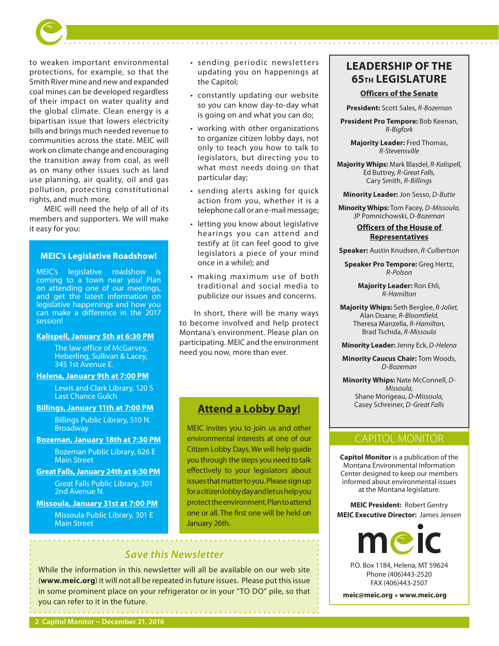to weaken important environmental protections, for example, so that the Smith River mine and new and expanded coal mines can be developed regardless of their impact on water quality and the global climate. Clean energy is a bipartisan issue that lowers electricity bills and brings much needed revenue to communities across the state. MEIC will work on climate change and encouraging the transition away from coal, as well as on many other issues such as land use planning, air quality, oil and gas pollution, protecting constitutional rights, and much more.

MEIC will need the help of all of its members and supporters. We will make it easy for you:

## **MEIC's Legislative Roadshow!**

MEIC's legislative roadshow is coming to a town near you! Plan on attending one of our meetings, and get the latest information on legislative happenings and how you can make a difference in the 2017 session!

## **Kalispell, January 5th at 6:30 PM**

The law office of McGarvey, Heberling, Sullivan & Lacey, 345 1st Avenue E.

### **Helena, January 9th at 7:00 PM**

Lewis and Clark Library, 120 S Last Chance Gulch

## **Billings, January 11th at 7:00 PM**

Billings Public Library, 510 N. **Broadway** 

## **Bozeman, January 18th at 7:30 PM**

Bozeman Public Library, 626 E Main Street

**Great Falls, January 24th at 6:30 PM**

Great Falls Public Library, 301 2nd Avenue N.

**Missoula, January 31st at 7:00 PM** Missoula Public Library, 301 E Main Street

• sending periodic newsletters updating you on happenings at the Capitol;

. . . . . . . . . . . . . .

- • constantly updating our website so you can know day-to-day what is going on and what you can do;
- working with other organizations to organize citizen lobby days, not only to teach you how to talk to legislators, but directing you to what most needs doing on that particular day;
- sending alerts asking for quick action from you, whether it is a telephone call or an e-mail message;
- letting you know about legislative hearings you can at tend and testify at (it can feel good to give legislators a piece of your mind once in a while); and
- • making maximum use of both traditional and social media to publicize our issues and concerns.

In short, there will be many ways to become involved and help protect Montana's environment. Please plan on participating. MEIC and the environment need you now, more than ever.

## **Attend a Lobby Day!**

MEIC invites you to join us and other environmental interests at one of our Citizen Lobby Days. We will help guide you through the steps you need to talk effectively to your legislators about issues that matter to you. Please sign up for a citizen lobby day and let us help you protect the environment. Plan to attend one or all. The first one will be held on January 26th.

## *Save this Newsletter*

While the information in this newsletter will all be available on our web site (**www.meic.org**) it will not all be repeated in future issues. Please put this issue in some prominent place on your refrigerator or in your "TO DO" pile, so that you can refer to it in the future.

# **LEADERSHIP OF THE 65TH LEGISLATURE**

## **Officers of the Senate**

**President:** Scott Sales, *R-Bozeman*

**President Pro Tempore:** Bob Keenan, *R-Bigfork*

**Majority Leader:** Fred Thomas, *R-Stevensville*

**Majority Whips:** Mark Blasdel, *R-Kalispell,*  Ed Buttrey*, R-Great Falls,* Cary Smith, *R-Billings*

**Minority Leader:** Jon Sesso, *D-Butte*

**Minority Whips:** Tom Facey, *D-Missoula,*  JP Pomnichowski*, D-Bozeman*

## **Officers of the House of Representatives**

**Speaker:** Austin Knudsen, *R-Culbertson*

**Speaker Pro Tempore:** Greg Hertz, *R-Polson*

> **Majority Leader:** Ron Ehli, *R-Hamilton*

**Majority Whips:** Seth Berglee, *R-Joliet,* Alan Doane, *R-Bloomfield*, Theresa Manzella, *R-Hamilton,* Brad Tschida, *R-Missoula*

**Minority Leader:** Jenny Eck, *D-Helena*

**Minority Caucus Chair:** Tom Woods, *D-Bozeman*

**Minority Whips:** Nate McConnell, *D-Missoula,* Shane Morigeau, *D-Missoula,* Casey Schreiner, *D-Great Falls*

## CAPITOL MONITOR

**Capitol Monitor** is a publication of the Montana Environmental Information Center designed to keep our members informed about environmental issues at the Montana legislature.

**MEIC President:** Robert Gentry **MEIC Executive Director:** James Jensen



P.O. Box 1184, Helena, MT 59624 Phone (406)443-2520 FAX (406)443-2507

**meic@meic.org • www.meic.org**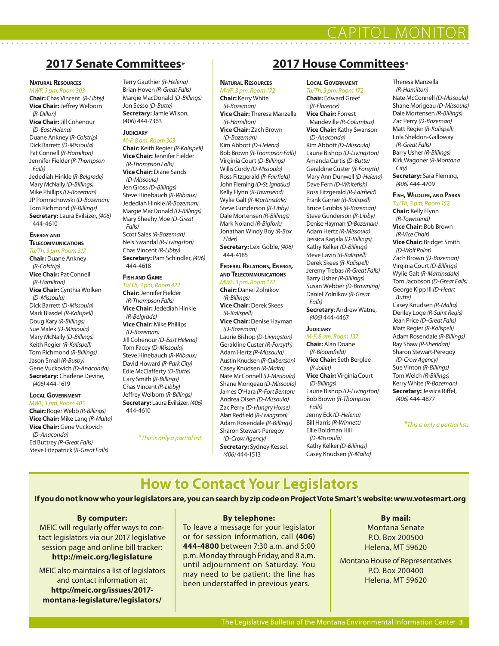# **2017 Senate Committees***\** **2017 House Committees***\**

### **Natural Resources**

*MWF, 3 pm, Room 303* **Chair:** Chas Vincent *(R-Libby)* **Vice Chair:** Jeffrey Welborn *(R-Dillon)* **Vice Chair:** Jill Cohenour *(D-East Helena)* Duane Ankney *(R-Colstrip)* Dick Barrett *(D-Missoula)* Pat Connell *(R-Hamilton)* Jennifer Fielder *(R-Thompson Falls)* Jedediah Hinkle *(R-Belgrade)* Mary McNally *(D-Billings)* Mike Phillips *(D-Bozeman)* JP Pomnichowski *(D-Bozeman)* Tom Richmond *(R-Billings)* **Secretary:** Laura Evilsizer, *(406)* 444-4610

### **Energy and Telecommunications**

*Tu/Th, 3 pm, Room 317* **Chair:** Duane Ankney *(R-Colstrip)* **Vice Chair:** Pat Connell *(R-Hamilton)* **Vice Chair:** Cynthia Wolken *(D-Missoula)* Dick Barrett *(D-Missoula)* Mark Blasdel *(R-Kalispell)* Doug Kary *(R-Billings)* Sue Malek *(D-Missoula)* Mary McNally *(D-Billings)* Keith Regier *(R-Kalispell)* Tom Richmond *(R-Billings)* Jason Small *(R-Busby)* Gene Vuckovich *(D-Anaconda)* **Secretary:** Charlene Devine, *(406)* 444-1619

### **LocalGovernment** *MWF, 3 pm, Room 405*

**Chair:** Roger Webb *(R-Billings)* **Vice Chair:** Mike Lang *(R-Malta)* **Vice Chair:** Gene Vuckovich *(D-Anaconda)* Ed Buttrey *(R-Great Falls)* Steve Fitzpatrick *(R-Great Falls)*

Terry Gauthier *(R-Helena)* Brian Hoven *(R-Great Falls)* Margie MacDonald *(D-Billings)* Jon Sesso *(D-Butte)* **Secretary:** Jamie Wilson, (406) 444-7363

## **JUDICIARY**

*M-F, 8 am, Room 303* **Chair:** Keith Regier *(R-Kalispell)* **Vice Chair:** Jennifer Fielder *(R-Thompson Falls)* **Vice Chair:** Diane Sands *(D-Missoula)* Jen Gross *(D-Billings)* Steve Hinebauch *(R-Wibaux)* Jedediah Hinkle *(R-Bozeman)* Margie MacDonald *(D-Billings)* Mary Sheehy Moe *(D-Great Falls)* Scott Sales *(R-Bozeman)* Nels Swandal *(R-Livingston)* Chas Vincent *(R-Libby)* **Secretary:** Pam Schindler, *(406)* 444-4618

### **Fish and Game**

444-4610

*Tu/Th, 3 pm, Room 422* **Chair:** Jennifer Fielder *(R-Thompson Falls)* **Vice Chair:** Jedediah Hinkle *(R-Belgrade)* **Vice Chair:** Mike Phillips *(D-Bozeman)* Jill Cohenour *(D-East Helena)* Tom Facey *(D-Missoula)* Steve Hinebauch *(R-Wibaux)* David Howard *(R-Park City)* Edie McClafferty *(D-Butte)* Cary Smith *(R-Billings)* Chas Vincent *(R-Libby)* Jeffrey Welborn *(R-Billings)* **Secretary:** Laura Evilsizer, *(406)*

*\*This is only a partial list.*

### **Natural Resources**

*MWF, 3 pm, Room 172* **Chair:** Kerry White *(R-Bozeman)* **Vice Chair:** Theresa Manzella *(R-Hamilton)* **Vice Chair:** Zach Brown *(D-Bozeman)* Kim Abbott *(D-Helena)* Bob Brown *(R-Thompson Falls)* Virginia Court *(D-Billings)* Willis Curdy *(D-Missoula)* Ross Fitzgerald *(R-Fairfield)* John Fleming *(D-St. Ignatius)* Kelly Flynn *(R-Townsend)* Wylie Galt *(R-Martinsdale)* Steve Gunderson *(R-Libby)* Dale Mortensen *(R-Billings)* Mark Noland *(R-Bigfork)*

Jonathan Windy Boy *(R-Box Elder)* **Secretary:** Lexi Goble, *(406)*

444-4185 **Federal Relations, Energy,** 

## **and Telecommunications**

*MWF, 3 pm, Room 172* **Chair:** Daniel Zolnikov

*(R-Billings)* **Vice Chair:** Derek Skees *(R-Kalispell)*

**Vice Chair:** Denise Hayman *(D-Bozeman)*

Laurie Bishop *(D-Livingston)* Geraldine Custer *(R-Forsyth)* Adam Hertz *(R-Missoula)* Austin Knudsen *(R-Culbertson)* Casey Knudsen *(R-Malta)* Nate McConnell *(D-Missoula)* Shane Morigeau *(D-Missoula)* James O'Hara *(R-Fort Benton)* Andrea Olsen *(D-Missoula)* Zac Perry *(D-Hungry Horse)* Alan Redfield *(R-Livingston)* Adam Rosendale *(R-Billings)* Sharon Stewart-Peregoy *(D-Crow Agency)* **Secretary:** Sydney Kessel, *(406)* 444-1513

### **LocalGovernment**

*Tu/Th, 3 pm, Room 172* **Chair:** Edward Greef *(R-Florence)* **Vice Chair:** Forrest Mandeville *(R-Columbus)* **Vice Chair:** Kathy Swanson *(D-Anaconda)* Kim Abbott *(D-Missoula)* Laurie Bishop *(D-Livingston)* Amanda Curtis *(D-Butte)* Geraldine Custer *(R-Forsyth)* Mary Ann Dunwell *(D-Helena)* Dave Fern *(D-Whitefish)* Ross Fitzgerald *(R-Fairfield)* Frank Garner *(R-Kalispell)* Bruce Grubbs *(R-Bozeman)* Steve Gunderson *(R-Libby)* Denise Hayman *(D-Bozeman)* Adam Hertz *(R-Missoula)* Jessica Karjala *(D-Billings)* Kathy Kelker *(D-Billings)* Steve Lavin *(R-Kalispell)* Derek Skees *(R-Kalispell)* Jeremy Trebas *(R-Great Falls)* Barry Usher *(R-Billings)* Susan Webber *(D-Browning)* Daniel Zolnikov *(R-Great Falls)* **Secretary**: Andrew Watne, *(406)* 444-4467

### **JUDICIARY** *M-F, 8 am, Room 137*

**Chair:** Alan Doane *(R-Bloomfield)* **Vice Chair:** Seth Berglee *(R-Joliet)* **Vice Chair:** Virginia Court *(D-Billings)* Laurie Bishop *(D-Livingston)* Bob Brown *(R-Thompson Falls)* Jenny Eck *(D-Helena)* Bill Harris *(R-Winnett)* Ellie Boldman Hill *(D-Missoula)* Kathy Kelker *(D-Billings)* Casey Knudsen *(R-Malta)*

### Theresa Manzella *(R-Hamilton)* Nate McConnell *(D-Missoula)* Shane Morigeau *(D-Missoula)* Dale Mortensen *(R-Billings)* Zac Perry *(D-Bozeman)* Matt Regier *(R-Kalispell)* Lola Sheldon-Galloway *(R-Great Falls)* Barry Usher *(R-Billings)* Kirk Wagoner *(R-Montana City)* **Secretary:** Sara Fleming, *(406)* 444-4709

CAPITOL MONITOR

### **Fish, Wildlife, and Parks** *Tu/Th, 3 pm, Room 152*

**Chair:** Kelly Flynn *(R-Townsend)* **Vice Chair:** Bob Brown *(R-Vice Chair)* **Vice Chair:** Bridget Smith *(D-Wolf Point)* Zach Brown *(D-Bozeman)* Virginia Court *(D-Billings)* Wylie Galt *(R-Martinsdale)* Tom Jacobson *(D-Great Falls)* George Kipp III *(D-Heart Butte)* Casey Knudsen *(R-Malta)* Denley Loge *(R-Saint Regis)* Jean Price *(D-Great Falls)* Matt Regier *(R-Kalispell)* Adam Rosendale *(R-Billings)* Ray Shaw *(R-Sheridan)* Sharon Stewart-Peregoy *(D-Crow Agency)* Sue Vinton *(R-Billings)* Tom Welch *(R-Billings)* Kerry White *(R-Bozeman)* **Secretary:** Jessica Riffel, *(406)* 444-4877

### *\*This is only a partial list.*

**How to Contact Your Legislators**

**If you do not know who your legislators are, you can search by zip code on Project Vote Smart's website: www.votesmart.org**

### **By computer:**

MEIC will regularly offer ways to contact legislators via our 2017 legislative session page and online bill tracker: **http://meic.org/legislature**

MEIC also maintains a list of legislators and contact information at: **http://meic.org/issues/2017 montana-legislature/legislators/**

### **By telephone:**

To leave a message for your legislator or for session information, call **(406) 444-4800** between 7:30 a.m. and 5:00 p.m. Monday through Friday, and 8 a.m. until adjournment on Saturday. You may need to be patient; the line has been understaffed in previous years.

## **By mail:**

Montana Senate P.O. Box 200500 Helena, MT 59620

Montana House of Representatives P.O. Box 200400 Helena, MT 59620